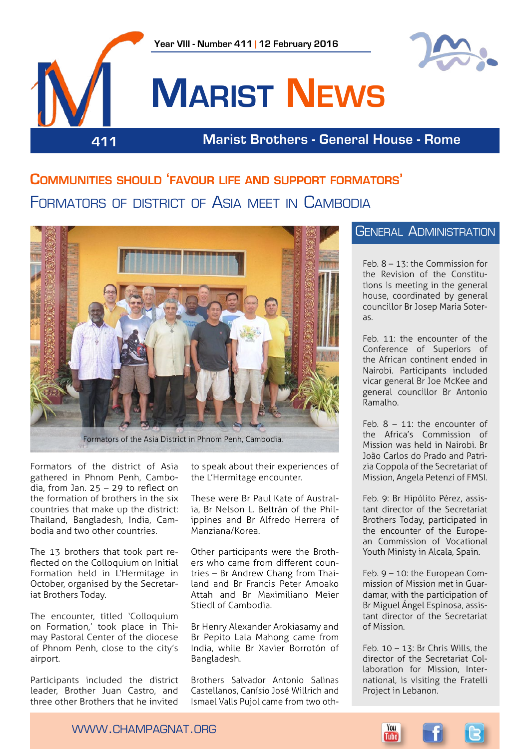



# **Marist News**

**411 Marist Brothers - General House - Rome**

# **Communities should 'favour life and support formators'** Formators of district of Asia meet in Cambodia



Formators of the Asia District in Phnom Penh, Cambodia.

Formators of the district of Asia gathered in Phnom Penh, Cambodia, from Jan. 25 – 29 to reflect on the formation of brothers in the six countries that make up the district: Thailand, Bangladesh, India, Cambodia and two other countries.

The 13 brothers that took part reflected on the Colloquium on Initial Formation held in L'Hermitage in October, organised by the Secretariat Brothers Today.

The encounter, titled 'Colloquium on Formation,' took place in Thimay Pastoral Center of the diocese of Phnom Penh, close to the city's airport.

Participants included the district leader, Brother Juan Castro, and three other Brothers that he invited

to speak about their experiences of the L'Hermitage encounter.

These were Br Paul Kate of Australia, Br Nelson L. Beltrán of the Philippines and Br Alfredo Herrera of Manziana/Korea.

Other participants were the Brothers who came from different countries – Br Andrew Chang from Thailand and Br Francis Peter Amoako Attah and Br Maximiliano Meier Stiedl of Cambodia.

Br Henry Alexander Arokiasamy and Br Pepito Lala Mahong came from India, while Br Xavier Borrotón of Bangladesh.

Brothers Salvador Antonio Salinas Castellanos, Canísio José Willrich and Ismael Valls Pujol came from two oth-

#### General Administration

Feb. 8 – 13: the Commission for the Revision of the Constitutions is meeting in the general house, coordinated by general councillor Br Josep Maria Soteras.

Feb. 11: the encounter of the Conference of Superiors of the African continent ended in Nairobi. Participants included vicar general Br Joe McKee and general councillor Br Antonio Ramalho.

Feb. 8 – 11: the encounter of the Africa's Commission of Mission was held in Nairobi. Br João Carlos do Prado and Patrizia Coppola of the Secretariat of Mission, Angela Petenzi of FMSI.

Feb. 9: Br Hipólito Pérez, assistant director of the Secretariat Brothers Today, participated in the encounter of the European Commission of Vocational Youth Ministy in Alcala, Spain.

Feb. 9 – 10: the European Commission of Mission met in Guardamar, with the participation of Br Miguel Ángel Espinosa, assistant director of the Secretariat of Mission.

Feb. 10 – 13: Br Chris Wills, the director of the Secretariat Collaboration for Mission, International, is visiting the Fratelli Project in Lebanon.

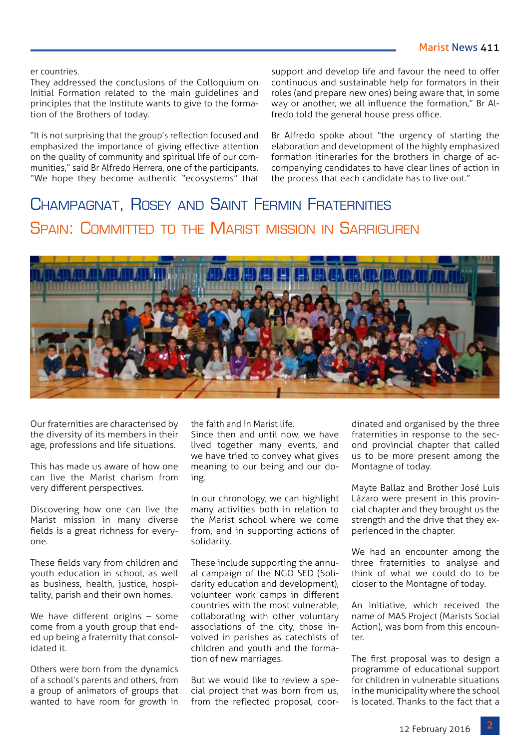er countries.

They addressed the conclusions of the Colloquium on Initial Formation related to the main guidelines and principles that the Institute wants to give to the formation of the Brothers of today.

"It is not surprising that the group's reflection focused and emphasized the importance of giving effective attention on the quality of community and spiritual life of our communities," said Br Alfredo Herrera, one of the participants. "We hope they become authentic "ecosystems" that support and develop life and favour the need to offer continuous and sustainable help for formators in their roles (and prepare new ones) being aware that, in some way or another, we all influence the formation," Br Alfredo told the general house press office.

Br Alfredo spoke about "the urgency of starting the elaboration and development of the highly emphasized formation itineraries for the brothers in charge of accompanying candidates to have clear lines of action in the process that each candidate has to live out."

# Champagnat, Rosey and Saint Fermin Fraternities Spain: Committed to the Marist mission in Sarriguren



Our fraternities are characterised by the diversity of its members in their age, professions and life situations.

This has made us aware of how one can live the Marist charism from very different perspectives.

Discovering how one can live the Marist mission in many diverse fields is a great richness for everyone.

These fields vary from children and youth education in school, as well as business, health, justice, hospitality, parish and their own homes.

We have different origins - some come from a youth group that ended up being a fraternity that consolidated it.

Others were born from the dynamics of a school's parents and others, from a group of animators of groups that wanted to have room for growth in the faith and in Marist life.

Since then and until now, we have lived together many events, and we have tried to convey what gives meaning to our being and our doing.

In our chronology, we can highlight many activities both in relation to the Marist school where we come from, and in supporting actions of solidarity.

These include supporting the annual campaign of the NGO SED (Solidarity education and development), volunteer work camps in different countries with the most vulnerable, collaborating with other voluntary associations of the city, those involved in parishes as catechists of children and youth and the formation of new marriages.

But we would like to review a special project that was born from us, from the reflected proposal, coordinated and organised by the three fraternities in response to the second provincial chapter that called us to be more present among the Montagne of today.

Mayte Ballaz and Brother José Luis Lázaro were present in this provincial chapter and they brought us the strength and the drive that they experienced in the chapter.

We had an encounter among the three fraternities to analyse and think of what we could do to be closer to the Montagne of today.

An initiative, which received the name of MAS Project (Marists Social Action), was born from this encounter.

The first proposal was to design a programme of educational support for children in vulnerable situations in the municipality where the school is located. Thanks to the fact that a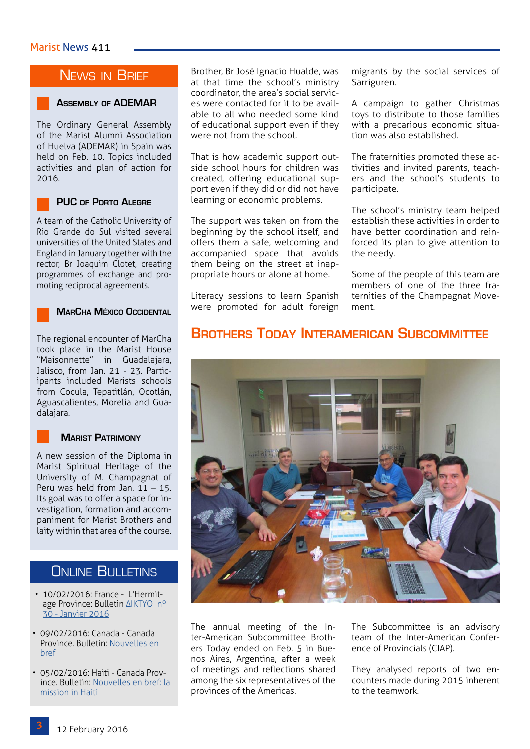## News in Brief

#### **Assembly of ADEMAR**

The Ordinary General Assembly of the Marist Alumni Association of Huelva (ADEMAR) in Spain was held on Feb. 10. Topics included activities and plan of action for 2016.

#### **PUC of Porto Alegre**

A team of the Catholic University of Rio Grande do Sul visited several universities of the United States and England in January together with the rector, Br Joaquim Clotet, creating programmes of exchange and promoting reciprocal agreements.

#### **MarCha México Occidental**

The regional encounter of MarCha took place in the Marist House "Maisonnette" in Guadalajara, Jalisco, from Jan. 21 - 23. Participants included Marists schools from Cocula, Tepatitlán, Ocotlán, Aguascalientes, Morelia and Guadalajara.

#### **Marist Patrimony**

A new session of the Diploma in Marist Spiritual Heritage of the University of M. Champagnat of Peru was held from Jan. 11 – 15. Its goal was to offer a space for investigation, formation and accompaniment for Marist Brothers and laity within that area of the course.

## ONLINE BULLETINS

- 10/02/2016: France L'Hermitage Province: Bulletin [ΔIKTYO nº](http://www.maristes.eu/images/Diktyo/Diktyo_FR_30.pdf)  [30 - Janvier 2016](http://www.maristes.eu/images/Diktyo/Diktyo_FR_30.pdf)
- 09/02/2016: Canada Canada Province. Bulletin: [Nouvelles en](http://www.champagnat.org/shared/bau/2016-02-08_NBref.pdf)  [bref](http://www.champagnat.org/shared/bau/2016-02-08_NBref.pdf)
- 05/02/2016: Haiti Canada Province. Bulletin: [Nouvelles en bref: la](http://www.champagnat.org/shared/bau/2016-02-04_NBref.pdf)  [mission in Haiti](http://www.champagnat.org/shared/bau/2016-02-04_NBref.pdf)

Brother, Br José Ignacio Hualde, was at that time the school's ministry coordinator, the area's social services were contacted for it to be available to all who needed some kind of educational support even if they were not from the school.

That is how academic support outside school hours for children was created, offering educational support even if they did or did not have learning or economic problems.

The support was taken on from the beginning by the school itself, and offers them a safe, welcoming and accompanied space that avoids them being on the street at inappropriate hours or alone at home.

Literacy sessions to learn Spanish were promoted for adult foreign

migrants by the social services of Sarriguren.

A campaign to gather Christmas toys to distribute to those families with a precarious economic situation was also established.

The fraternities promoted these activities and invited parents, teachers and the school's students to participate.

The school's ministry team helped establish these activities in order to have better coordination and reinforced its plan to give attention to the needy.

Some of the people of this team are members of one of the three fraternities of the Champagnat Movement.

### **Brothers Today Interamerican Subcommittee**



The annual meeting of the Inter-American Subcommittee Brothers Today ended on Feb. 5 in Buenos Aires, Argentina, after a week of meetings and reflections shared among the six representatives of the provinces of the Americas.

The Subcommittee is an advisory team of the Inter-American Conference of Provincials (CIAP).

They analysed reports of two encounters made during 2015 inherent to the teamwork.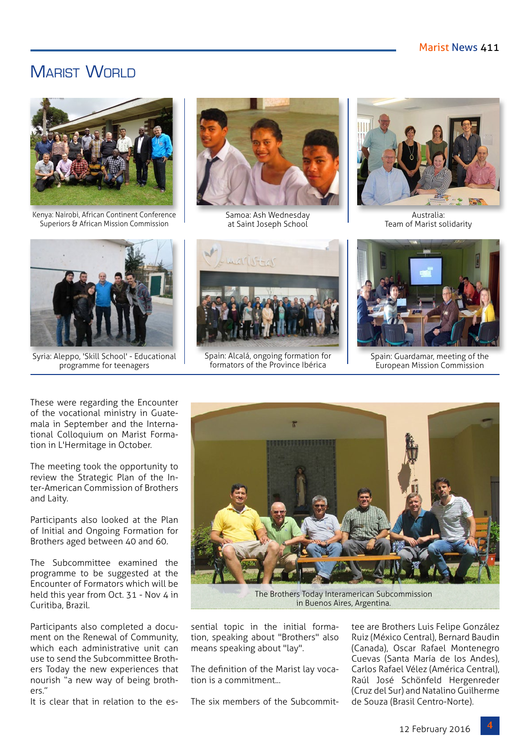## MARIST WORLD



Kenya: Nairobi, African Continent Conference Superiors & African Mission Commission



Samoa: Ash Wednesday at Saint Joseph School



Australia: Team of Marist solidarity



Syria: Aleppo, 'Skill School' - Educational programme for teenagers



Spain: Alcalá, ongoing formation for formators of the Province Ibérica



Spain: Guardamar, meeting of the European Mission Commission

These were regarding the Encounter of the vocational ministry in Guatemala in September and the International Colloquium on Marist Formation in L'Hermitage in October.

The meeting took the opportunity to review the Strategic Plan of the Inter-American Commission of Brothers and Laity.

Participants also looked at the Plan of Initial and Ongoing Formation for Brothers aged between 40 and 60.

The Subcommittee examined the programme to be suggested at the Encounter of Formators which will be held this year from Oct. 31 - Nov 4 in Curitiba, Brazil.

Participants also completed a document on the Renewal of Community, which each administrative unit can use to send the Subcommittee Brothers Today the new experiences that nourish "a new way of being brothers."

It is clear that in relation to the es-



The Brothers Today Interamerican Subcommission in Buenos Aires, Argentina.

sential topic in the initial formation, speaking about "Brothers" also means speaking about "lay".

The definition of the Marist lay vocation is a commitment

The six members of the Subcommit-

tee are Brothers Luis Felipe González Ruiz (México Central), Bernard Baudin (Canada), Oscar Rafael Montenegro Cuevas (Santa María de los Andes), Carlos Rafael Vélez (América Central), Raúl José Schönfeld Hergenreder (Cruz del Sur) and Natalino Guilherme de Souza (Brasil Centro-Norte).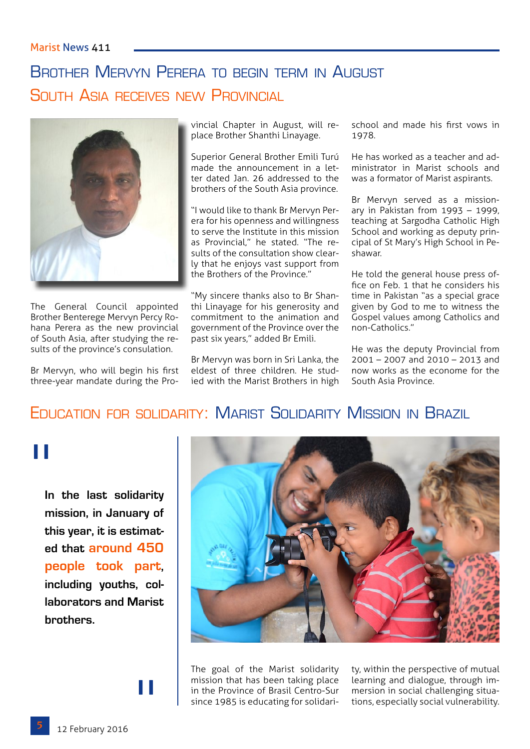# Brother Mervyn Perera to begin term in August SOUTH ASIA RECEIVES NEW PROVINCIAL



The General Council appointed Brother Benterege Mervyn Percy Rohana Perera as the new provincial of South Asia, after studying the results of the province's consulation.

Br Mervyn, who will begin his first three-year mandate during the Provincial Chapter in August, will replace Brother Shanthi Linayage.

Superior General Brother Emili Turú made the announcement in a letter dated Jan. 26 addressed to the brothers of the South Asia province.

"I would like to thank Br Mervyn Perera for his openness and willingness to serve the Institute in this mission as Provincial," he stated. "The results of the consultation show clearly that he enjoys vast support from the Brothers of the Province."

"My sincere thanks also to Br Shanthi Linayage for his generosity and commitment to the animation and government of the Province over the past six years," added Br Emili.

Br Mervyn was born in Sri Lanka, the eldest of three children. He studied with the Marist Brothers in high

school and made his first vows in 1978.

He has worked as a teacher and administrator in Marist schools and was a formator of Marist aspirants.

Br Mervyn served as a missionary in Pakistan from 1993 – 1999, teaching at Sargodha Catholic High School and working as deputy principal of St Mary's High School in Peshawar.

He told the general house press office on Feb. 1 that he considers his time in Pakistan "as a special grace given by God to me to witness the Gospel values among Catholics and non-Catholics."

He was the deputy Provincial from 2001 – 2007 and 2010 – 2013 and now works as the econome for the South Asia Province.

## Education for solidarity: Marist Solidarity Mission in Brazil

# "

**In the last solidarity mission, in January of this year, it is estimated that around 450 people took part, including youths, collaborators and Marist brothers.**

"



The goal of the Marist solidarity mission that has been taking place in the Province of Brasil Centro-Sur since 1985 is educating for solidarity, within the perspective of mutual learning and dialogue, through immersion in social challenging situations, especially social vulnerability.